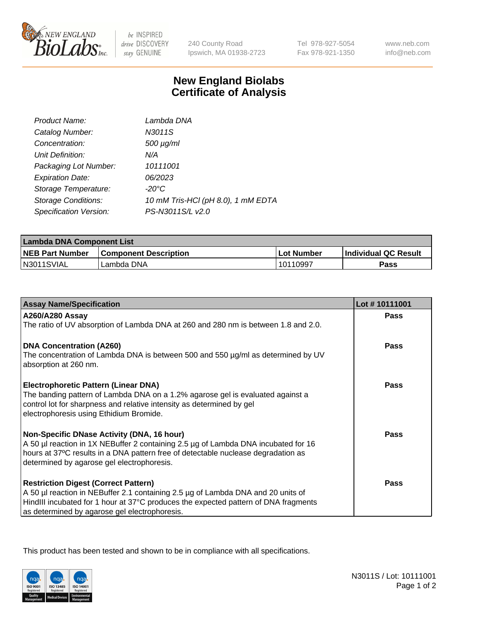

 $be$  INSPIRED drive DISCOVERY stay GENUINE

240 County Road Ipswich, MA 01938-2723 Tel 978-927-5054 Fax 978-921-1350 www.neb.com info@neb.com

## **New England Biolabs Certificate of Analysis**

| Product Name:              | Lambda DNA                         |
|----------------------------|------------------------------------|
| Catalog Number:            | N3011S                             |
| Concentration:             | $500 \mu g/ml$                     |
| Unit Definition:           | N/A                                |
| Packaging Lot Number:      | 10111001                           |
| <b>Expiration Date:</b>    | 06/2023                            |
| Storage Temperature:       | -20°C                              |
| <b>Storage Conditions:</b> | 10 mM Tris-HCl (pH 8.0), 1 mM EDTA |
| Specification Version:     | PS-N3011S/L v2.0                   |

| Lambda DNA Component List |                              |            |                             |  |
|---------------------------|------------------------------|------------|-----------------------------|--|
| <b>NEB Part Number</b>    | <b>Component Description</b> | Lot Number | <b>Individual QC Result</b> |  |
| N3011SVIAL                | Lambda DNA                   | 10110997   | Pass                        |  |

| <b>Assay Name/Specification</b>                                                                                                                                                                                                                                         | Lot #10111001 |
|-------------------------------------------------------------------------------------------------------------------------------------------------------------------------------------------------------------------------------------------------------------------------|---------------|
| <b>A260/A280 Assay</b><br>The ratio of UV absorption of Lambda DNA at 260 and 280 nm is between 1.8 and 2.0.                                                                                                                                                            | <b>Pass</b>   |
| <b>DNA Concentration (A260)</b><br>The concentration of Lambda DNA is between 500 and 550 µg/ml as determined by UV<br>absorption at 260 nm.                                                                                                                            | <b>Pass</b>   |
| <b>Electrophoretic Pattern (Linear DNA)</b><br>The banding pattern of Lambda DNA on a 1.2% agarose gel is evaluated against a<br>control lot for sharpness and relative intensity as determined by gel<br>electrophoresis using Ethidium Bromide.                       | Pass          |
| Non-Specific DNase Activity (DNA, 16 hour)<br>A 50 µl reaction in 1X NEBuffer 2 containing 2.5 µg of Lambda DNA incubated for 16<br>hours at 37°C results in a DNA pattern free of detectable nuclease degradation as<br>determined by agarose gel electrophoresis.     | Pass          |
| <b>Restriction Digest (Correct Pattern)</b><br>A 50 µl reaction in NEBuffer 2.1 containing 2.5 µg of Lambda DNA and 20 units of<br>HindIII incubated for 1 hour at 37°C produces the expected pattern of DNA fragments<br>as determined by agarose gel electrophoresis. | Pass          |

This product has been tested and shown to be in compliance with all specifications.